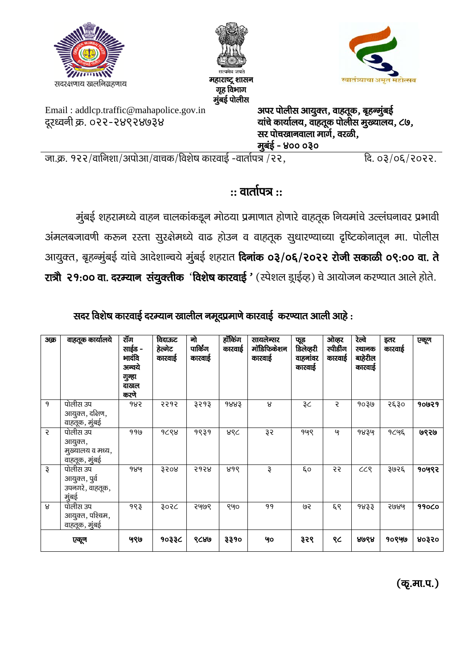| T<br>सदरक्षणाय खलनिग्रहणाय                                            | सत्यमेव जयते<br>महाराष्ट्र शासन<br>गृह विभाग<br>मुंबई पोलीस |                                                                                                                                     | ग्न्याचा अमृत महात्सव |
|-----------------------------------------------------------------------|-------------------------------------------------------------|-------------------------------------------------------------------------------------------------------------------------------------|-----------------------|
| Email: addlcp.traffic@mahapolice.gov.in<br>दूरध्वनी क्र. ०२२-२४९२४७३४ |                                                             | अपर पोलीस आयुक्त, वाहतूक, बृहन्मुंबई<br>यांचे कार्यालय, वाहतूक पोलीस मुख्यालय, ८७,<br>सर पोचखानवाला मार्ग, वरळी,<br>मुबंई - ४०० ०३० |                       |
| . जा.क्र. १२२/वानिशा/अपोआ/वाचक/विशेष कारवाई -वार्तापत्र /२२           |                                                             |                                                                                                                                     | दि. ०३/०६/२०२२.       |

# $::$  वार्तापत्र $::$

सुंबई शहरामध्ये वाहन चालकांकडून मोठया प्रमाणात होणारे वाहतूक नियमांचे उल्लंघनावर प्रभावी अंमलबजावणी करून रस्ता सुरक्षेमध्ये वाढ होउन व वाहतूक सुधारण्याच्या दृष्टिकोनातून मा. पोलीस आयुक्त, बृहन्मुंबई यांचे आदेशान्वये मुंबई शहरात **दिनांक ०३/०६/२०२२ रोजी सकाळी ०९:०० वा. ते** रात्री २१:०० वा. दरम्यान संयुक्तीक 'विशेष कारवाई ' (स्पेशल ड्राईव्ह) चे आयोजन करण्यात आले होते.

## सदर विशेष कारवाई दरम्यान खालील नमूदप्रमाणे कारवाई करण्यात आली आहे :

| अक्र           | वाहतूक कार्यालये                                         | रॉॅंग<br>साईड -<br>भादंवि<br>अन्वये<br>गुन्हा<br>दाखल<br>करणे | विदाऊट<br>हेल्मेट<br>कारवाई | नो<br>पार्किंग<br>कारवाई | हॉकिंग<br>कारवाई | सायलेन्सर<br>मॉडिफिकेशन<br>कारवाई | फूड<br>डिलेव्हरी<br>वाहनांवर<br>कारवाई | ओव्हर<br>स्पीडींग<br>कारवाई | रेल्वे<br>स्थानक<br>बाहेरील<br>कारवाई | इतर<br>कारवाई | एकूण         |
|----------------|----------------------------------------------------------|---------------------------------------------------------------|-----------------------------|--------------------------|------------------|-----------------------------------|----------------------------------------|-----------------------------|---------------------------------------|---------------|--------------|
| 9              | पोलीस उप<br>आयुक्त, दक्षिण,<br>वाहतूक, मुंबई             | १४२                                                           | २२१२                        | ३२१३                     | 9883             | 8                                 | ₹C                                     | Ş.                          | 903७                                  | २६३०          | 90029        |
| <sub>5</sub>   | पोलीस उप<br>आयुक्त,<br>मुख्यालय व मध्य,<br>वाहतूक, मुंबई | 990                                                           | 9C88                        | 9939                     | १९८              | રૂર                               | १५९                                    | ဖ                           | १४३५                                  | 9८५६          | ७९२७         |
| $\mathfrak{F}$ | पोलीस उप<br>आयुक्त, पुर्व<br>उपनगरे, वाहतूक,<br>मुंबई    | १४५                                                           | 3508                        | २१२४                     | ४१९              | ૱                                 | ξo                                     | 55                          | CCS                                   | ३७२६          | १०५९२        |
| 8              | पोलीस उप<br>आयुक्त, पश्चिम,<br>वाहतूक, मुंबई             | १९३                                                           | ३०२८                        | २७७९                     | ९५०              | 99                                | ૭૨                                     | ६९                          | 9833                                  | २७४५          | <b>990C0</b> |
|                | एकूण                                                     | ७९७                                                           | १०३३८                       | ୧८୪७                     | ३३१०             | ୱଠ                                | ३२९                                    | ९८                          | ୱଓଟ                                   | 90990         | 80550        |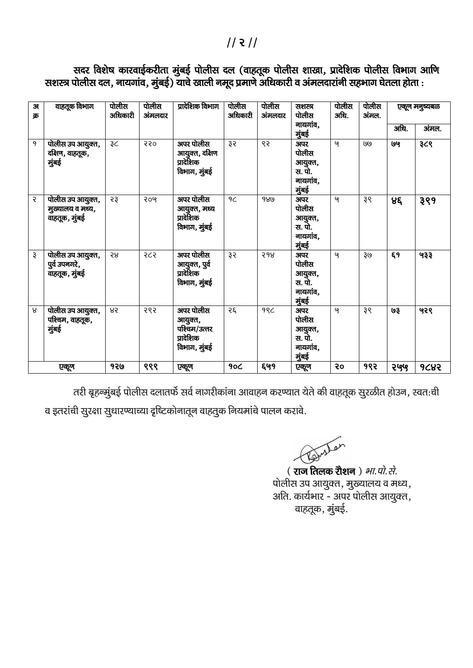### $11211$

|           | सशस्त्र पोलीस दल, नायगांव, मुंबई) याचे खाली नमूद प्रमाणे अधिकारी व अंमलदारांनी सहभाग घेतला होता : |                  |                  |                                                          |                  |                 |                                                        |               |                 |               |       |  |
|-----------|---------------------------------------------------------------------------------------------------|------------------|------------------|----------------------------------------------------------|------------------|-----------------|--------------------------------------------------------|---------------|-----------------|---------------|-------|--|
| 31<br>क्र | वाहतूक विभाग                                                                                      | पोलीस<br>अधिकारी | पोलीस<br>अंमलदार | प्रादेशिक विभाग                                          | पोलीस<br>अधिकारी | पोलीस<br>अमलदार | सशस्त्र<br>पोलीस                                       | पोलीस<br>अधि. | पोलीस<br>अंमल.  | एकूण मनुष्यबळ |       |  |
|           |                                                                                                   |                  |                  |                                                          |                  |                 | नायगांव,<br>मुंबई                                      |               |                 | अधि.          | अंमल. |  |
| 9         | पोलीस उप आयुक्त,<br>दक्षिण, वाहतूक,<br>मुंबई                                                      | ₹C               | २२०              | अपर पोलीस<br>आयुक्त, दक्षिण<br>प्रादेशिक<br>विभाग, मुंबई | રૂર              | ९२              | अपर<br>पोलीस<br>आयुक्त,<br>स. पो.<br>नायगांव.<br>मुंबई | ৭             | 19(9)           | છિલ           | ३८९   |  |
| Ç         | पोलीस उप आयुक्त,<br>मुख्यालय व मध्य,<br>वाहतूक, मुंबई                                             | 53               | २०५              | अपर पोलीस<br>आयुक्त, मध्य<br>प्रादेशिक<br>विभाग, मुंबई   | 9C               | 980             | अपर<br>पोलीस<br>आयुक्त,<br>स. पो.<br>नायगांव,<br>मुंबई | ଓ             | ३९              | ४६            | ३९१   |  |
| ૱         | पोलीस उप आयुक्त,                                                                                  | ર૪               | २८२              | अपर पोलीस                                                | રૂર              | २१४             | अपर                                                    | ও             | 30 <sub>9</sub> | ξ9            | ५३३   |  |

आयुक्त, पुर्व प्रादेशिक विभाग, मुंबई

आयुक्त, पश्चिम/उत्तर प्रादेशिक विभाग, मुंबई

४२ २९२ अपर पोलीस

पुर्व उपनगरे, वाहतूक, मुंबई

 $8$  पोलीस उप आयुक्त, पश्चिम, वाहतूक,

मुंबई

सदर विशेष कारवाईकरीता मुंबई पोलीस दल (वाहतूक पोलीस शाखा, प्रादेशिक पोलीस विभाग आणि सशस्त्र पोलीस दल, नायगांव, मुंबई) याचे खाली नमूद प्रमाणे अधिकारी व अंमलदारांनी सहभाग घेतला होता :

तरी बृहन्मुंबई पोलीस दलातर्फे सर्व नागरीकांना आवाहन करण्यात येते की वाहतूक सुरळीत होउन, स्वतःची a इतरांची सुरक्षा सुधारण्याच्या दृष्टिकोनातून वाहतुक नियमांचे पालन करावे.

एकूण | १२७ | ९९९ | एकूण | १०८ | ६७१ | एकूण | २० | १९२ | २७५९ | १८४२

 $2\xi$  99 $\zeta$  अपर

wster

पोलीस आयुक्त, <u>स. पो.</u> नायगांव, ्<br>सुबई

पोलीस आयुक्त, <u>स. पो.</u> नायगांव, मुंबई

( राज तिलक रौशन) *भा.पो.से.* पोलीस उप आयुक्त, मुख्यालय व मध्य, अति. कार्यभार - अपर पोलीस आयुक्त, वाहतूक, मुंबई.

 $-959$  38 938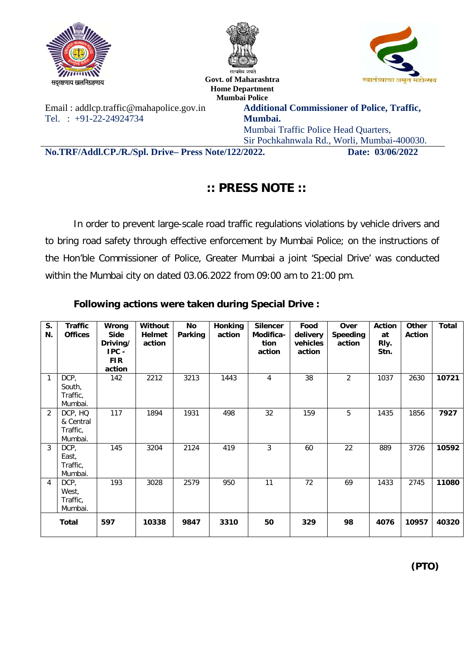





ln~j{k.kk; [kyfuxzg.kk; **Govt. of Maharashtra Home Department Mumbai Police**

Email : addlcp.traffic@mahapolice.gov.in Tel. : +91-22-24924734

**Additional Commissioner of Police, Traffic, Mumbai.** Mumbai Traffic Police Head Quarters,

Sir Pochkahnwala Rd., Worli, Mumbai-400030.

**No.TRF/Addl.CP./R./Spl. Drive– Press Note/122/2022. Date: 03/06/2022**

## **:: PRESS NOTE ::**

In order to prevent large-scale road traffic regulations violations by vehicle drivers and to bring road safety through effective enforcement by Mumbai Police; on the instructions of the Hon'ble Commissioner of Police, Greater Mumbai a joint 'Special Drive' was conducted within the Mumbai city on dated 03.06.2022 from 09:00 am to 21:00 pm.

#### **Following actions were taken during Special Drive :**

| S.<br>N. | <b>Traffic</b><br><b>Offices</b>            | Wrong<br><b>Side</b><br>Driving/<br>$IPC -$<br><b>FIR</b><br>action | Without<br><b>Helmet</b><br>action | No<br>Parking | <b>Honking</b><br>action | <b>Silencer</b><br>Modifica-<br>tion<br>action | Food<br>delivery<br>vehicles<br>action | Over<br><b>Speeding</b><br>action | <b>Action</b><br>at<br>Rly.<br>Stn. | <b>Other</b><br><b>Action</b> | <b>Total</b> |
|----------|---------------------------------------------|---------------------------------------------------------------------|------------------------------------|---------------|--------------------------|------------------------------------------------|----------------------------------------|-----------------------------------|-------------------------------------|-------------------------------|--------------|
| 1        | DCP,<br>South,<br>Traffic,<br>Mumbai.       | 142                                                                 | 2212                               | 3213          | 1443                     | 4                                              | 38                                     | $\overline{2}$                    | 1037                                | 2630                          | 10721        |
| 2        | DCP, HQ<br>& Central<br>Traffic,<br>Mumbai. | 117                                                                 | 1894                               | 1931          | 498                      | 32                                             | 159                                    | 5                                 | 1435                                | 1856                          | 7927         |
| 3        | DCP,<br>East,<br>Traffic,<br>Mumbai.        | 145                                                                 | 3204                               | 2124          | 419                      | 3                                              | 60                                     | 22                                | 889                                 | 3726                          | 10592        |
| 4        | DCP,<br>West,<br>Traffic,<br>Mumbai.        | 193                                                                 | 3028                               | 2579          | 950                      | 11                                             | 72                                     | 69                                | 1433                                | 2745                          | 11080        |
|          | <b>Total</b>                                | 597                                                                 | 10338                              | 9847          | 3310                     | 50                                             | 329                                    | 98                                | 4076                                | 10957                         | 40320        |